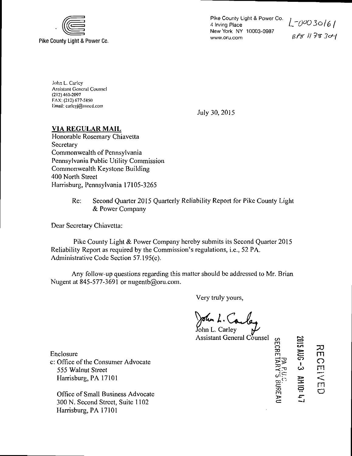

Pike County Light & Power Co. 4 Irving Place New York NY 10003-0987 www.oru.com

*L-0aO3o/6/*   $BPS$  117830-1

John L. Carley **Assistant General Counsel** (212)460-2097 FAX: (212) 677-5850 limail: carleyj@coned.com

July 30, 2015

## **VIA REGULAR MAIL**

Honorable Rosemary Chiavetta Secretary Commonwealth of Pennsylvania Pennsylvania Public Utility Commission Commonwealth Keystone Building 400 North Street Harrisburg, Pennsylvania 17105-3265

> Re: Second Quarter 2015 Quarterly Reliability Report for Pike County Light & Power Company

Dear Secretary Chiavetta:

Pike County Light & Power Company hereby submits its Second Quarter 2015 Reliability Report as required by the Commission's regulations, i.e., 52 PA. Administrative Code Section 57.195(e).

Any follow-up questions regarding this matter should be addressed to Mr. Brian Nugent at 845-577-3691 or nugentb@oru.com.

Very truly yours,

John L. Carley  $\mathcal{Y}$ Assistant General Counsel

Enclosure

c: Office of the Consumer Advocate 555 Walnut Street Harrisburg, PA 17101

Office of Small Business Advocate 300 N. Second Street, Suite 1102 Harrisburg, PA 17101

m<br>3<br>2  $-1$ TO m  $\vec{\phantom{a}}$ 3Ji **EN 10:** 

כב<br>הח o m

> rn .<br>O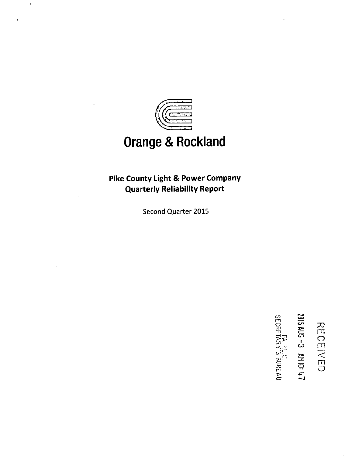

## **Orange & Rockland**

**Pike County Light & Power Company Quarterly Reliability Report** 

Second Quarter 2015

 $\approx$  $\equiv$ i  $Z_{\Xi}$  . **NH 10:47** 

 $\Xi_\Pi$ o m

I i 1 **o** 

n **TO**  m

ה<br>כ:<br>ה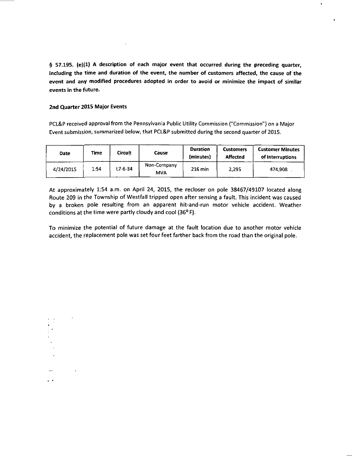**§ 57.195. (e)(1) A description of each major event that occurred during the preceding quarter, including the time and duration of the event, the number of customers affected, the cause of the event and any modified procedures adopted in order to avoid or minimize the impact of similar events in the future.** 

## **2nd Quarter 2015 Major Events**

 $\sim$ 

 $\blacksquare$ 

PCL&P received approval from the Pennsylvania Public Utility Commission ("Commission") on a Major Event submission, summarized below, that PCL&P submitted during the second quarter of 2015.

| <b>Date</b> | Time | Circuit       | Cause                     | <b>Duration</b><br>(minutes) | <b>Customers</b><br><b>Affected</b> | <b>Customer Minutes</b><br>of interruptions |
|-------------|------|---------------|---------------------------|------------------------------|-------------------------------------|---------------------------------------------|
| 4/24/2015   | 1.54 | $L7 - 6 - 34$ | Non-Company<br><b>MVA</b> | $216$ min                    | 2,295                               | 474.908                                     |

At approximately 1:54 a.m. on April 24, 2015, the recloser on pole 38467/49107 located along Route 209 in the Township of Westfall tripped open after sensing a fault. This incident was caused by a broken pole resulting from an apparent hit-and-run motor vehicle accident. Weather conditions at the time were partly cloudy and cool (36° F).

To minimize the potential of future damage at the fault location due to another motor vehicle accident, the replacement pole was set four feet farther back from the road than the original pole.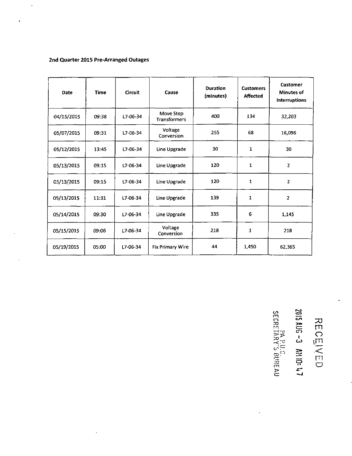## **2nd Quarter 2015 Pre-Arranged Outages**

 $\ddot{\phantom{a}}$ 

 $\ddot{\phantom{1}}$ 

 $\ddot{\phantom{1}}$ 

 $\bar{\beta}$ 

| <b>Date</b> | <b>Time</b> | <b>Circuit</b> | Cause                     | <b>Duration</b><br>(minutes) | <b>Customers</b><br><b>Affected</b> | Customer<br><b>Minutes of</b><br><b>Interruptions</b> |
|-------------|-------------|----------------|---------------------------|------------------------------|-------------------------------------|-------------------------------------------------------|
| 04/15/2015  | 09.38       | L7-06-34       | Move Step<br>Transformers | 400                          | 134                                 | 32,203                                                |
| 05/07/2015  | 09:31       | L7-06-34       | Voltage<br>Conversion     | 255                          | 68                                  | 16,096                                                |
| 05/12/2015  | 13:45       | $L7 - 06 - 34$ | Line Upgrade              | 30                           | 1                                   | 30                                                    |
| 05/13/2015  | 09:15       | $L7 - 06 - 34$ | Line Upgrade              | 120                          | 1                                   | $\overline{2}$                                        |
| 05/13/2015  | 09:15       | $L7 - 06 - 34$ | Line Upgrade              | 120                          | 1                                   | $\overline{2}$                                        |
| 05/13/2015  | 11:31       | L7-06-34       | Line Upgrade              | 139                          | 1                                   | $\overline{2}$                                        |
| 05/14/2015  | 09:30       | L7-06-34       | Line Upgrade              | 335                          | 6                                   | 1,145                                                 |
| 05/15/2015  | 09:06       | L7-06-34       | Voltage<br>Conversion     | 218                          | 1                                   | 218                                                   |
| 05/19/2015  | 05.00       | L7-06-34       | <b>Fix Primary Wire</b>   | 44                           | 1,450                               | 62,365                                                |

**m o TO**  rn **—t- c TO**   $\preceq \succeq$ **TO m C=3 cn i CO o 33 h <br>
<b>d**  $\overline{C}$  <br> **d**  $\overline{C}$  <br> **d**  $\overline{C}$  <br> **d**  $\overline{C}$  <br> **d**  $\overline{C}$  <br> **d**  $\overline{C}$  <br> **d**  $\overline{C}$  <br> **d**  $\overline{C}$  <br> **d**  $\overline{C}$  <br> **d**  $\overline{C}$  <br> **d**  $\overline{C}$  <br> **d**  $\overline{C}$  <br> **d**  $\overline{C}$  <br> **d**  $\overline{C}$  <br> **d**  $\over$ 

 $\ddot{\phantom{a}}$ 

l,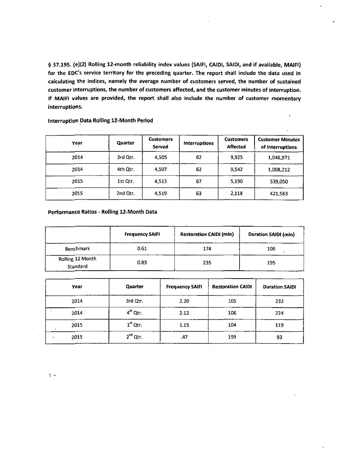**§ 57.195. (e)(2) Rolling 12-month reliability index values (SAIFI, CAID1, SAIDI, and if available, MAIFI) for the EDC's service territory for the preceding quarter. The report shall include the data used in calculating the indices, namely the average number of customers served, the number of sustained customer interruptions, the number of customers affected, and the customer minutes of interruption. If MAIFI values are provided, the report shall also include the number of customer momentary interruptions.** 

 $\bar{\lambda}$ 

| Year | Quarter  |       | Interruptions | <b>Customers</b><br><b>Affected</b> | <b>Customer Minutes</b><br>of Interruptions. |  |
|------|----------|-------|---------------|-------------------------------------|----------------------------------------------|--|
| 2014 | 3rd Qtr. | 4,505 | 62            | 9,925                               | 1,046,971                                    |  |
| 2014 | 4th Qtr. | 4.507 | 62            | 9,542                               | 1,008,212                                    |  |
| 2015 | 1st Qtr. | 4.513 | 67            | 5,190                               | 539.050                                      |  |
| 2015 | 2nd Qtr. | 4,519 | 63            | 2,118                               | 421,583                                      |  |

**Interruption Data Rolling 12-Month Period** 

**Performance Ratios - Rolling 12-Month Data** 

|                              | <b>Frequency SAIFI</b> | <b>Restoration CAIDI (min)</b> | <b>Duration SAIDI (min)</b> |
|------------------------------|------------------------|--------------------------------|-----------------------------|
| Benchmark                    | 0.61                   | 174                            | 106                         |
| Rolling 12 Month<br>Standard | 0.83                   | 235                            | 195                         |

| Year | Quarter       | <b>Frequency SAIFI</b> | <b>Restoration CAIDI</b> | <b>Duration SAIDI</b> |
|------|---------------|------------------------|--------------------------|-----------------------|
| 2014 | 3rd Qtr.      | 2.20                   | 105                      | 232                   |
| 2014 | $4th$ Otr.    | 2.12                   | 106                      | 224                   |
| 2015 | $1st$ Qtr.    | 1.15                   | 104                      | 119                   |
| 2015 | $2^{nd}$ Qtr. | .47                    | 199                      | 93                    |

 $\mathbf{t}$  .  $\mathbf{t}$ 

 $\mathcal{A}$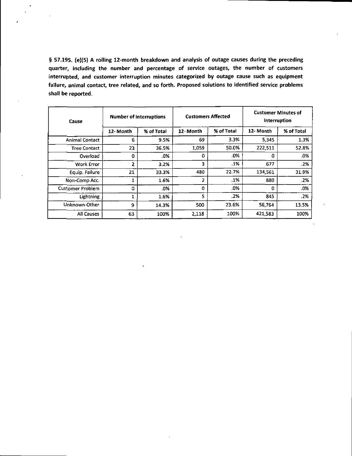**§ 57.195. (e)(5) A rolling 12-month breakdown and analysis of outage causes during the preceding quarter, including the number and percentage of service outages, the number of customers interrupted, and customer interruption minutes categorized by outage cause such as equipment failure, animal contact, tree related, and so forth. Proposed solutions to identified service problems shall be reported.** 

| Cause                   | <b>Number of Interruptions</b> |            | <b>Customers Affected</b> |            | <b>Customer Minutes of</b><br><b>Interruption</b> |            |
|-------------------------|--------------------------------|------------|---------------------------|------------|---------------------------------------------------|------------|
|                         | 12-Month                       | % of Total | 12 Month                  | % of Total | 12-Month                                          | % of Total |
| <b>Animal Contact</b>   | 6                              | 9.5%       | 69                        | 3.3%       | 5,345                                             | 1.3%       |
| <b>Tree Contact</b>     | 23                             | 36.5%      | 1,059                     | 50.0%      | 222,511                                           | 52.8%      |
| Overload                | 0                              | .0%        | 0                         | .0%        | 0                                                 | .0%        |
| Work Error              | 2                              | 3.2%       | 3.                        | .1%        | 677                                               | .2%        |
| Equip. Failure          | 21                             | 33.3%      | 480                       | 22.7%      | 134,561                                           | 31.9%      |
| Non-Comp Acc.           |                                | 1.6%       | 2                         | .1%        | 880                                               | .2%        |
| <b>Customer Problem</b> | 0                              | .0%        | $\Omega$                  | $.0\%$     | 0                                                 | .0%        |
| Lightning               |                                | 1.6%       | 5.                        | .2%        | 845                                               | .2%        |
| Unknown-Other           | 9                              | 14.3%      | 500                       | 23.6%      | 56,764                                            | 13.5%      |
| All Causes              | 63                             | 100%       | 2,118                     | 100%       | 421,583                                           | 100%       |